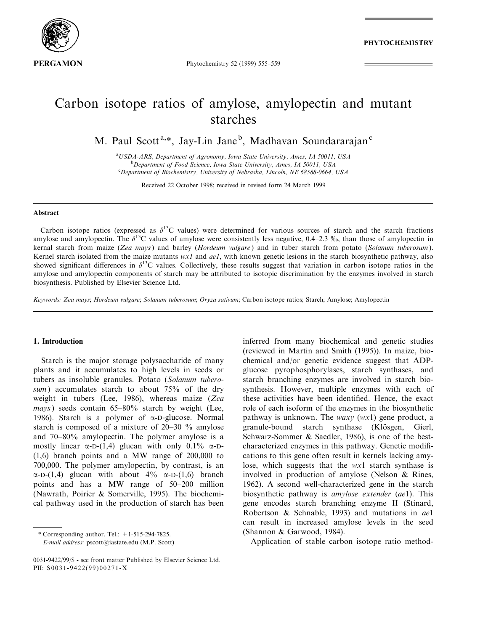

**PHYTOCHEMISTRY** 

Phytochemistry 52 (1999) 555-559

# Carbon isotope ratios of amylose, amylopectin and mutant starches

M. Paul Scott<sup>a,\*</sup>, Jay-Lin Jane<sup>b</sup>, Madhavan Soundararajan<sup>c</sup>

<sup>a</sup>USDA-ARS, Department of Agronomy, Iowa State University, Ames, IA 50011, USA <sup>b</sup> Department of Food Science, Iowa State University, Ames, IA 50011, USA<br>CDepartment of Biochemistry, University of Nebraska, Lincoln, NE 68588,0664 Department of Biochemistry, University of Nebraska, Lincoln, NE 68588-0664, USA

Received 22 October 1998; received in revised form 24 March 1999

#### Abstract

Carbon isotope ratios (expressed as  $\delta^{13}$ C values) were determined for various sources of starch and the starch fractions amylose and amylopectin. The  $\delta^{13}$ C values of amylose were consistently less negative, 0.4–2.3 ‰, than those of amylopectin in kernal starch from maize (Zea mays) and barley (Hordeum vulgare) and in tuber starch from potato (Solanum tuberosum). Kernel starch isolated from the maize mutants  $wx1$  and  $ael$ , with known genetic lesions in the starch biosynthetic pathway, also showed significant differences in  $\delta^{13}$ C values. Collectively, these results suggest that variation in carbon isotope ratios in the amylose and amylopectin components of starch may be attributed to isotopic discrimination by the enzymes involved in starch biosynthesis. Published by Elsevier Science Ltd.

Keywords: Zea mays; Hordeum vulgare; Solanum tuberosum; Oryza sativum; Carbon isotope ratios; Starch; Amylose; Amylopectin

## 1. Introduction

Starch is the major storage polysaccharide of many plants and it accumulates to high levels in seeds or tubers as insoluble granules. Potato (Solanum tuberosum) accumulates starch to about  $75%$  of the dry weight in tubers (Lee, 1986), whereas maize (Zea mays) seeds contain  $65-80\%$  starch by weight (Lee, 1986). Starch is a polymer of  $\alpha$ -D-glucose. Normal starch is composed of a mixture of  $20-30$  % amylose and  $70-80\%$  amylopectin. The polymer amylose is a mostly linear  $\alpha$ -D-(1,4) glucan with only 0.1%  $\alpha$ -D-(1,6) branch points and a MW range of 200,000 to 700,000. The polymer amylopectin, by contrast, is an  $\alpha$ -D-(1,4) glucan with about 4%  $\alpha$ -D-(1,6) branch points and has a MW range of 50-200 million (Nawrath, Poirier & Somerville, 1995). The biochemical pathway used in the production of starch has been

\* Corresponding author. Tel.:  $+1-515-294-7825$ .

E-mail address: pscott@iastate.edu (M.P. Scott)

inferred from many biochemical and genetic studies (reviewed in Martin and Smith (1995)). In maize, biochemical and/or genetic evidence suggest that ADPglucose pyrophosphorylases, starch synthases, and starch branching enzymes are involved in starch biosynthesis. However, multiple enzymes with each of these activities have been identified. Hence, the exact role of each isoform of the enzymes in the biosynthetic pathway is unknown. The *waxy*  $(wx1)$  gene product, a granule-bound starch synthase (Klösgen, Gierl, Schwarz-Sommer & Saedler, 1986), is one of the bestcharacterized enzymes in this pathway. Genetic modifications to this gene often result in kernels lacking amylose, which suggests that the wx1 starch synthase is involved in production of amylose (Nelson & Rines, 1962). A second well-characterized gene in the starch biosynthetic pathway is amylose extender (ae1). This gene encodes starch branching enzyme II (Stinard, Robertson & Schnable, 1993) and mutations in ae1 can result in increased amylose levels in the seed (Shannon & Garwood, 1984).

Application of stable carbon isotope ratio method-

<sup>0031-9422/99/\$ -</sup> see front matter Published by Elsevier Science Ltd. PII: S0031-9422(99)00271-X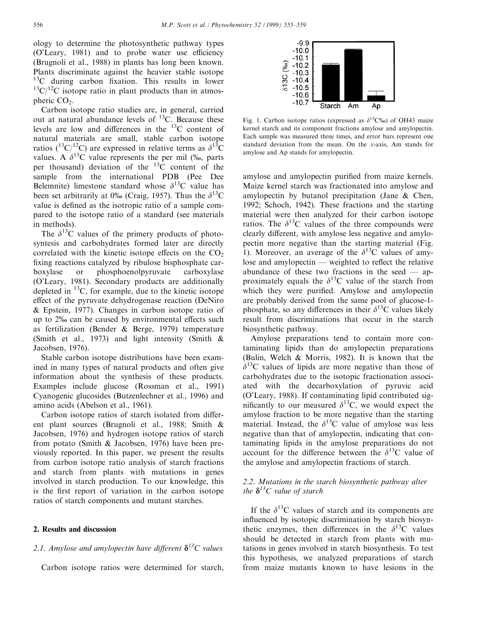ology to determine the photosynthetic pathway types (O'Leary, 1981) and to probe water use efficiency (Brugnoli et al., 1988) in plants has long been known. Plants discriminate against the heavier stable isotope  $13<sup>C</sup>$  during carbon fixation. This results in lower  $13^1$ C/<sup>12</sup>C isotope ratio in plant products than in atmospheric  $CO<sub>2</sub>$ .

Carbon isotope ratio studies are, in general, carried out at natural abundance levels of  $^{13}$ C. Because these levels are low and differences in the  $^{13}$ C content of natural materials are small, stable carbon isotope ratios ( ${}^{13}C/{}^{12}C$ ) are expressed in relative terms as  $\delta^{13}C$ values. A  $\delta^{13}$ C value represents the per mil (%, parts per thousand) deviation of the  $^{13}$ C content of the sample from the international PDB (Pee Dee Belemnite) limestone standard whose  $\delta^{13}$ C value has been set arbitrarily at 0‰ (Craig, 1957). Thus the  $\delta^{13}C$ value is defined as the isotropic ratio of a sample compared to the isotope ratio of a standard (see materials in methods).

The  $\delta^{13}$ C values of the primery products of photosyntesis and carbohydrates formed later are directly correlated with the kinetic isotope effects on the  $CO<sub>2</sub>$ fixing reactions catalyzed by ribulose bisphosphate carboxylase or phosphoenolpyruvate carboxylase (O'Leary, 1981). Secondary products are additionally depleted in  $^{13}$ C, for example, due to the kinetic isotope effect of the pyruvate dehydrogenase reaction (DeNiro & Epstein, 1977). Changes in carbon isotope ratio of up to 2% can be caused by environmental effects such as fertilization (Bender & Berge, 1979) temperature (Smith et al., 1973) and light intensity (Smith & Jacobsen, 1976).

Stable carbon isotope distributions have been examined in many types of natural products and often give information about the synthesis of these products. Examples include glucose (Rossman et al., 1991) Cyanogenic glucosides (Butzenlechner et al., 1996) and amino acids (Abelson et al., 1961).

Carbon isotope ratios of starch isolated from different plant sources (Brugnoli et al., 1988; Smith & Jacobsen, 1976) and hydrogen isotope ratios of starch from potato (Smith & Jacobsen, 1976) have been previously reported. In this paper, we present the results from carbon isotope ratio analysis of starch fractions and starch from plants with mutations in genes involved in starch production. To our knowledge, this is the first report of variation in the carbon isotope ratios of starch components and mutant starches.

## 2. Results and discussion

# 2.1. Amylose and amylopectin have different  $\delta^{13}C$  values

Carbon isotope ratios were determined for starch,



Fig. 1. Carbon isotope ratios (expressed as  $\delta^{13}C_{00}$ ) of OH43 maize kernel starch and its component fractions amylose and amylopectin. Each sample was measured three times, and error bars represent one standard deviation from the mean. On the x-axis, Am stands for amylose and Ap stands for amylopectin.

amylose and amylopectin purified from maize kernels. Maize kernel starch was fractionated into amylose and amylopectin by butanol precipitation (Jane & Chen, 1992; Schoch, 1942). These fractions and the starting material were then analyzed for their carbon isotope ratios. The  $\delta^{13}$ C values of the three compounds were clearly different, with amylose less negative and amylopectin more negative than the starting material (Fig. 1). Moreover, an average of the  $\delta^{13}$ C values of amylose and amylopectin  $\sim$  weighted to reflect the relative abundance of these two fractions in the seed  $-\alpha$ proximately equals the  $\delta^{13}$ C value of the starch from which they were purified. Amylose and amylopectin are probably derived from the same pool of glucose-1 phosphate, so any differences in their  $\delta^{13}$ C values likely result from discriminations that occur in the starch biosynthetic pathway.

Amylose preparations tend to contain more contaminating lipids than do amylopectin preparations (Bulin, Welch & Morris, 1982). It is known that the  $\delta^{13}$ C values of lipids are more negative than those of carbohydrates due to the isotopic fractionation associated with the decarboxylation of pyruvic acid (O'Leary, 1988). If contaminating lipid contributed significantly to our measured  $\delta^{13}$ C, we would expect the amylose fraction to be more negative than the starting material. Instead, the  $\delta^{13}$ C value of amylose was less negative than that of amylopectin, indicating that contaminating lipids in the amylose preparations do not account for the difference between the  $\delta^{13}$ C value of the amylose and amylopectin fractions of starch.

# 2.2. Mutations in the starch biosynthetic pathway alter the  $\delta^{13}C$  value of starch

If the  $\delta^{13}$ C values of starch and its components are influenced by isotopic discrimination by starch biosynthetic enzymes, then differences in the  $\delta^{13}$ C values should be detected in starch from plants with mutations in genes involved in starch biosynthesis. To test this hypothesis, we analyzed preparations of starch from maize mutants known to have lesions in the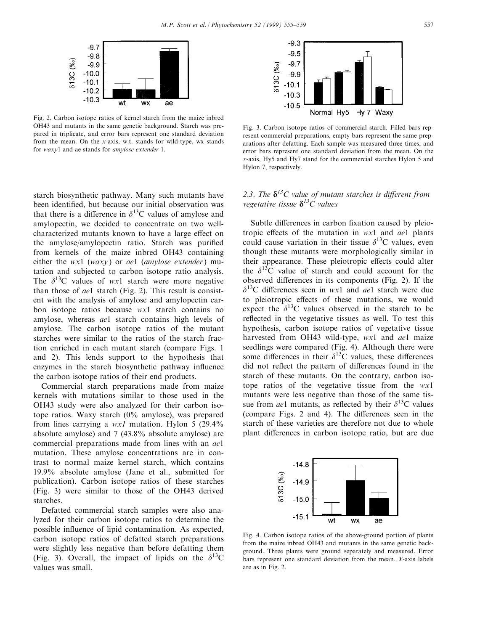

Fig. 2. Carbon isotope ratios of kernel starch from the maize inbred OH43 and mutants in the same genetic background. Starch was prepared in triplicate, and error bars represent one standard deviation from the mean. On the x-axis, w.t. stands for wild-type, wx stands for waxy1 and ae stands for amylose extender 1.

starch biosynthetic pathway. Many such mutants have been identified, but because our initial observation was that there is a difference in  $\delta^{13}$ C values of amylose and amylopectin, we decided to concentrate on two wellcharacterized mutants known to have a large effect on the amylose/amylopectin ratio. Starch was purified from kernels of the maize inbred OH43 containing either the wx1 (waxy) or ae1 (amylose extender) mutation and subjected to carbon isotope ratio analysis. The  $\delta^{13}$ C values of wx1 starch were more negative than those of ae1 starch (Fig. 2). This result is consistent with the analysis of amylose and amylopectin carbon isotope ratios because wx1 starch contains no amylose, whereas ae1 starch contains high levels of amylose. The carbon isotope ratios of the mutant starches were similar to the ratios of the starch fraction enriched in each mutant starch (compare Figs. 1 and 2). This lends support to the hypothesis that enzymes in the starch biosynthetic pathway influence the carbon isotope ratios of their end products.

Commercial starch preparations made from maize kernels with mutations similar to those used in the OH43 study were also analyzed for their carbon isotope ratios. Waxy starch (0% amylose), was prepared from lines carrying a  $wx1$  mutation. Hylon 5 (29.4%) absolute amylose) and 7 (43.8% absolute amylose) are commercial preparations made from lines with an ae1 mutation. These amylose concentrations are in contrast to normal maize kernel starch, which contains 19.9% absolute amylose (Jane et al., submitted for publication). Carbon isotope ratios of these starches (Fig. 3) were similar to those of the OH43 derived starches.

Defatted commercial starch samples were also analyzed for their carbon isotope ratios to determine the possible influence of lipid contamination. As expected, carbon isotope ratios of defatted starch preparations were slightly less negative than before defatting them (Fig. 3). Overall, the impact of lipids on the  $\delta^{13}$ C values was small.



Fig. 3. Carbon isotope ratios of commercial starch. Filled bars represent commercial preparations, empty bars represent the same preparations after defatting. Each sample was measured three times, and error bars represent one standard deviation from the mean. On the x-axis, Hy5 and Hy7 stand for the commercial starches Hylon 5 and Hylon 7, respectively.

# 2.3. The  $\delta^{13}C$  value of mutant starches is different from vegetative tissue  $\delta^{13}C$  values

Subtle differences in carbon fixation caused by pleiotropic effects of the mutation in  $wx1$  and  $ael$  plants could cause variation in their tissue  $\delta^{13}$ C values, even though these mutants were morphologically similar in their appearance. These pleiotropic effects could alter the  $\delta^{13}$ C value of starch and could account for the observed differences in its components (Fig. 2). If the  $\delta^{13}$ C differences seen in wx1 and *ae*1 starch were due to pleiotropic effects of these mutations, we would expect the  $\delta^{13}$ C values observed in the starch to be reflected in the vegetative tissues as well. To test this hypothesis, carbon isotope ratios of vegetative tissue harvested from OH43 wild-type, wx1 and ae1 maize seedlings were compared (Fig. 4). Although there were some differences in their  $\delta^{13}$ C values, these differences did not reflect the pattern of differences found in the starch of these mutants. On the contrary, carbon isotope ratios of the vegetative tissue from the wx1 mutants were less negative than those of the same tissue from *ae*1 mutants, as reflected by their  $\delta^{13}$ C values (compare Figs. 2 and 4). The differences seen in the starch of these varieties are therefore not due to whole plant differences in carbon isotope ratio, but are due



Fig. 4. Carbon isotope ratios of the above-ground portion of plants from the maize inbred OH43 and mutants in the same genetic background. Three plants were ground separately and measured. Error bars represent one standard deviation from the mean. X-axis labels are as in Fig. 2.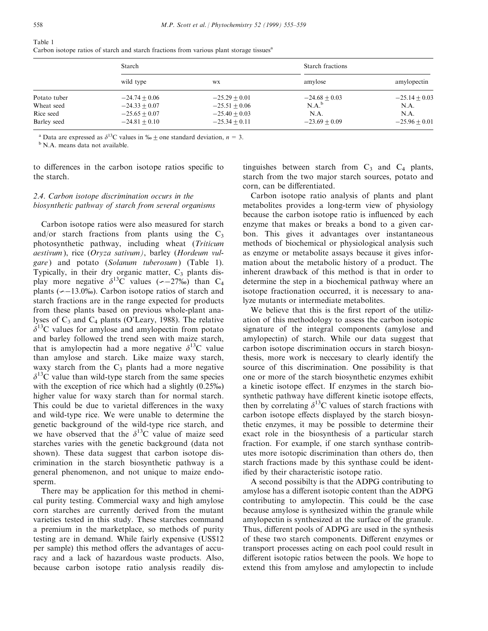Table 1

Carbon isotope ratios of starch and starch fractions from various plant storage tissues<sup>a</sup>

|              | Starch          |                 | Starch fractions |                 |
|--------------|-----------------|-----------------|------------------|-----------------|
|              | wild type       | WX              | amylose          | amylopectin     |
| Potato tuber | $-24.74 + 0.06$ | $-25.29 + 0.01$ | $-24.68 + 0.03$  | $-25.14 + 0.03$ |
| Wheat seed   | $-24.33 + 0.07$ | $-25.51 + 0.06$ | $N.A.^b$         | N.A.            |
| Rice seed    | $-25.65 + 0.07$ | $-25.40 + 0.03$ | N.A.             | N.A.            |
| Barley seed  | $-24.81 + 0.10$ | $-25.34 + 0.11$ | $-23.69 + 0.09$  | $-25.96 + 0.01$ |

<sup>a</sup> Data are expressed as  $\delta^{13}$ C values in  $\%$   $\pm$  one standard deviation, *n* = 3. <sup>b</sup> N.A. means data not available.

to differences in the carbon isotope ratios specific to the starch.

# 2.4. Carbon isotope discrimination occurs in the biosynthetic pathway of starch from several organisms

Carbon isotope ratios were also measured for starch and/or starch fractions from plants using the  $C_3$ photosynthetic pathway, including wheat (Triticum aestivum ), rice (Oryza sativum), barley (Hordeum vulgare) and potato (Solanum tuberosum) (Table 1). Typically, in their dry organic matter,  $C_3$  plants display more negative  $\delta^{13}$ C values (  $\sim$  -27‰) than C<sub>4</sub> plants ( $\sim$ -13.0%). Carbon isotope ratios of starch and starch fractions are in the range expected for products from these plants based on previous whole-plant analyses of  $C_3$  and  $C_4$  plants (O'Leary, 1988). The relative  $\delta^{13}$ C values for amylose and amylopectin from potato and barley followed the trend seen with maize starch, that is amylopectin had a more negative  $\delta^{13}$ C value than amylose and starch. Like maize waxy starch, waxy starch from the  $C_3$  plants had a more negative  $\delta^{13}$ C value than wild-type starch from the same species with the exception of rice which had a slightly  $(0.25\%)$ higher value for waxy starch than for normal starch. This could be due to varietal differences in the waxy and wild-type rice. We were unable to determine the genetic background of the wild-type rice starch, and we have observed that the  $\delta^{13}$ C value of maize seed starches varies with the genetic background (data not shown). These data suggest that carbon isotope discrimination in the starch biosynthetic pathway is a general phenomenon, and not unique to maize endosperm.

There may be application for this method in chemical purity testing. Commercial waxy and high amylose corn starches are currently derived from the mutant varieties tested in this study. These starches command a premium in the marketplace, so methods of purity testing are in demand. While fairly expensive (US\$12 per sample) this method offers the advantages of accuracy and a lack of hazardous waste products. Also, because carbon isotope ratio analysis readily dis-

tinguishes between starch from  $C_3$  and  $C_4$  plants, starch from the two major starch sources, potato and corn, can be differentiated.

Carbon isotope ratio analysis of plants and plant metabolites provides a long-term view of physiology because the carbon isotope ratio is influenced by each enzyme that makes or breaks a bond to a given carbon. This gives it advantages over instantaneous methods of biochemical or physiological analysis such as enzyme or metabolite assays because it gives information about the metabolic history of a product. The inherent drawback of this method is that in order to determine the step in a biochemical pathway where an isotope fractionation occurred, it is necessary to analyze mutants or intermediate metabolites.

We believe that this is the first report of the utilization of this methodology to assess the carbon isotopic signature of the integral components (amylose and amylopectin) of starch. While our data suggest that carbon isotope discrimination occurs in starch biosynthesis, more work is neccesary to clearly identify the source of this discrimination. One possibility is that one or more of the starch biosynthetic enzymes exhibit a kinetic isotope effect. If enzymes in the starch biosynthetic pathway have different kinetic isotope effects, then by correlating  $\delta^{13}$ C values of starch fractions with carbon isotope effects displayed by the starch biosynthetic enzymes, it may be possible to determine their exact role in the biosynthesis of a particular starch fraction. For example, if one starch synthase contributes more isotopic discrimination than others do, then starch fractions made by this synthase could be identified by their characteristic isotope ratio.

A second possibilty is that the ADPG contributing to amylose has a different isotopic content than the ADPG contributing to amylopectin. This could be the case because amylose is synthesized within the granule while amylopectin is synthesized at the surface of the granule. Thus, different pools of ADPG are used in the synthesis of these two starch components. Different enzymes or transport processes acting on each pool could result in different isotopic ratios between the pools. We hope to extend this from amylose and amylopectin to include